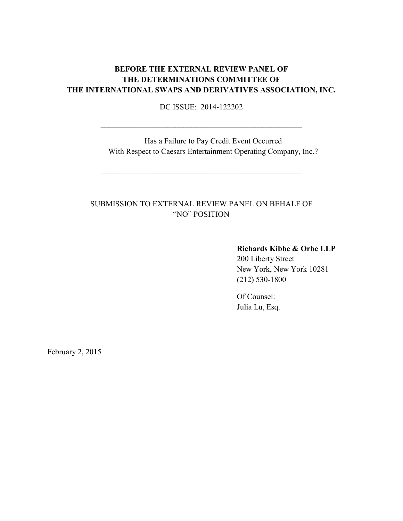# **BEFORE THE EXTERNAL REVIEW PANEL OF THE DETERMINATIONS COMMITTEE OF THE INTERNATIONAL SWAPS AND DERIVATIVES ASSOCIATION, INC.**

DC ISSUE: 2014-122202

**\_\_\_\_\_\_\_\_\_\_\_\_\_\_\_\_\_\_\_\_\_\_\_\_\_\_\_\_\_\_\_\_\_\_\_\_\_\_\_\_\_\_\_\_\_\_\_\_\_\_\_**

Has a Failure to Pay Credit Event Occurred With Respect to Caesars Entertainment Operating Company, Inc.?

# SUBMISSION TO EXTERNAL REVIEW PANEL ON BEHALF OF "NO" POSITION

\_\_\_\_\_\_\_\_\_\_\_\_\_\_\_\_\_\_\_\_\_\_\_\_\_\_\_\_\_\_\_\_\_\_\_\_\_\_\_\_\_\_\_\_\_\_\_\_\_\_\_

## **Richards Kibbe & Orbe LLP**

200 Liberty Street New York, New York 10281 (212) 530-1800

Of Counsel: Julia Lu, Esq.

February 2, 2015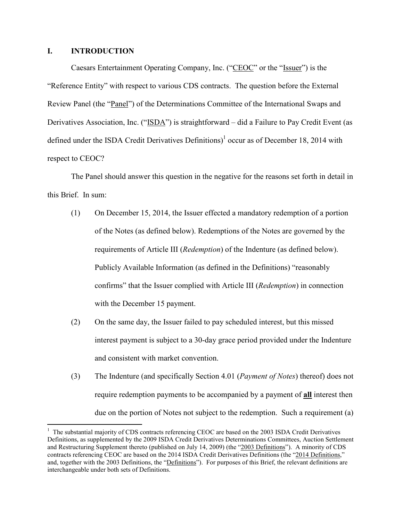#### **I. INTRODUCTION**

Caesars Entertainment Operating Company, Inc. ("CEOC" or the "Issuer") is the "Reference Entity" with respect to various CDS contracts. The question before the External Review Panel (the "Panel") of the Determinations Committee of the International Swaps and Derivatives Association, Inc. ("ISDA") is straightforward – did a Failure to Pay Credit Event (as defined under the ISDA Credit Derivatives Definitions)<sup>1</sup> occur as of December 18, 2014 with respect to CEOC?

The Panel should answer this question in the negative for the reasons set forth in detail in this Brief. In sum:

- (1) On December 15, 2014, the Issuer effected a mandatory redemption of a portion of the Notes (as defined below). Redemptions of the Notes are governed by the requirements of Article III (*Redemption*) of the Indenture (as defined below). Publicly Available Information (as defined in the Definitions) "reasonably confirms" that the Issuer complied with Article III (*Redemption*) in connection with the December 15 payment.
- (2) On the same day, the Issuer failed to pay scheduled interest, but this missed interest payment is subject to a 30-day grace period provided under the Indenture and consistent with market convention.
- (3) The Indenture (and specifically Section 4.01 (*Payment of Notes*) thereof) does not require redemption payments to be accompanied by a payment of **all** interest then due on the portion of Notes not subject to the redemption. Such a requirement (a)

<sup>&</sup>lt;sup>1</sup> The substantial majority of CDS contracts referencing CEOC are based on the 2003 ISDA Credit Derivatives Definitions, as supplemented by the 2009 ISDA Credit Derivatives Determinations Committees, Auction Settlement and Restructuring Supplement thereto (published on July 14, 2009) (the "2003 Definitions"). A minority of CDS contracts referencing CEOC are based on the 2014 ISDA Credit Derivatives Definitions (the "2014 Definitions," and, together with the 2003 Definitions, the "Definitions"). For purposes of this Brief, the relevant definitions are interchangeable under both sets of Definitions.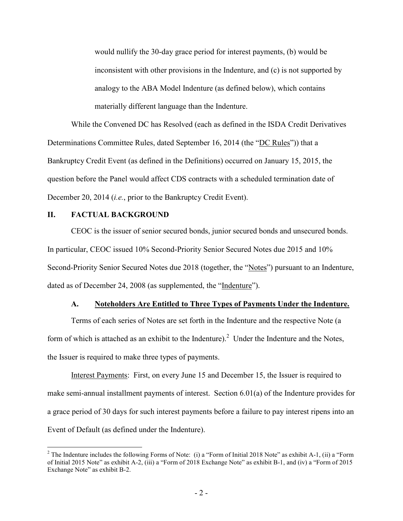would nullify the 30-day grace period for interest payments, (b) would be inconsistent with other provisions in the Indenture, and (c) is not supported by analogy to the ABA Model Indenture (as defined below), which contains materially different language than the Indenture.

While the Convened DC has Resolved (each as defined in the ISDA Credit Derivatives Determinations Committee Rules, dated September 16, 2014 (the "DC Rules")) that a Bankruptcy Credit Event (as defined in the Definitions) occurred on January 15, 2015, the question before the Panel would affect CDS contracts with a scheduled termination date of December 20, 2014 *(<i>i.e.*, prior to the Bankruptcy Credit Event).

#### **II. FACTUAL BACKGROUND**

<u>.</u>

CEOC is the issuer of senior secured bonds, junior secured bonds and unsecured bonds. In particular, CEOC issued 10% Second-Priority Senior Secured Notes due 2015 and 10% Second-Priority Senior Secured Notes due 2018 (together, the "Notes") pursuant to an Indenture, dated as of December 24, 2008 (as supplemented, the "Indenture").

### **A. Noteholders Are Entitled to Three Types of Payments Under the Indenture.**

Terms of each series of Notes are set forth in the Indenture and the respective Note (a form of which is attached as an exhibit to the Indenture).<sup>2</sup> Under the Indenture and the Notes, the Issuer is required to make three types of payments.

Interest Payments: First, on every June 15 and December 15, the Issuer is required to make semi-annual installment payments of interest. Section 6.01(a) of the Indenture provides for a grace period of 30 days for such interest payments before a failure to pay interest ripens into an Event of Default (as defined under the Indenture).

<sup>&</sup>lt;sup>2</sup> The Indenture includes the following Forms of Note: (i) a "Form of Initial 2018 Note" as exhibit A-1, (ii) a "Form of Initial 2015 Note" as exhibit A-2, (iii) a "Form of 2018 Exchange Note" as exhibit B-1, and (iv) a "Form of 2015 Exchange Note" as exhibit B-2.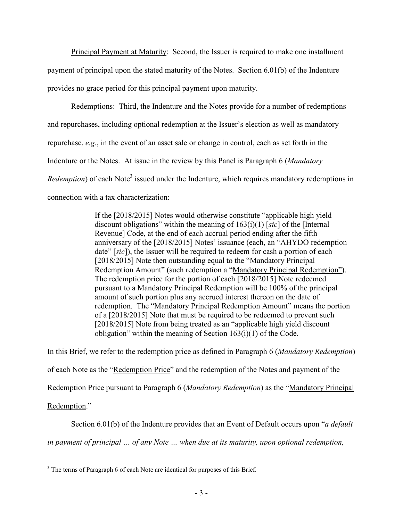Principal Payment at Maturity: Second, the Issuer is required to make one installment payment of principal upon the stated maturity of the Notes. Section 6.01(b) of the Indenture provides no grace period for this principal payment upon maturity.

Redemptions: Third, the Indenture and the Notes provide for a number of redemptions and repurchases, including optional redemption at the Issuer's election as well as mandatory repurchase, *e.g.*, in the event of an asset sale or change in control, each as set forth in the Indenture or the Notes. At issue in the review by this Panel is Paragraph 6 (*Mandatory Redemption*) of each Note<sup>3</sup> issued under the Indenture, which requires mandatory redemptions in connection with a tax characterization:

> If the [2018/2015] Notes would otherwise constitute "applicable high yield discount obligations" within the meaning of 163(i)(1) [*sic*] of the [Internal Revenue] Code, at the end of each accrual period ending after the fifth anniversary of the [2018/2015] Notes' issuance (each, an "AHYDO redemption date" [*sic*]), the Issuer will be required to redeem for cash a portion of each [2018/2015] Note then outstanding equal to the "Mandatory Principal" Redemption Amount" (such redemption a "Mandatory Principal Redemption"). The redemption price for the portion of each [2018/2015] Note redeemed pursuant to a Mandatory Principal Redemption will be 100% of the principal amount of such portion plus any accrued interest thereon on the date of redemption. The "Mandatory Principal Redemption Amount" means the portion of a [2018/2015] Note that must be required to be redeemed to prevent such [2018/2015] Note from being treated as an "applicable high yield discount" obligation" within the meaning of Section 163(i)(1) of the Code.

In this Brief, we refer to the redemption price as defined in Paragraph 6 (*Mandatory Redemption*) of each Note as the "Redemption Price" and the redemption of the Notes and payment of the Redemption Price pursuant to Paragraph 6 (*Mandatory Redemption*) as the "Mandatory Principal Redemption."

Section 6.01(b) of the Indenture provides that an Event of Default occurs upon "*a default* 

*in payment of principal … of any Note … when due at its maturity, upon optional redemption,* 

<sup>&</sup>lt;sup>3</sup> The terms of Paragraph 6 of each Note are identical for purposes of this Brief.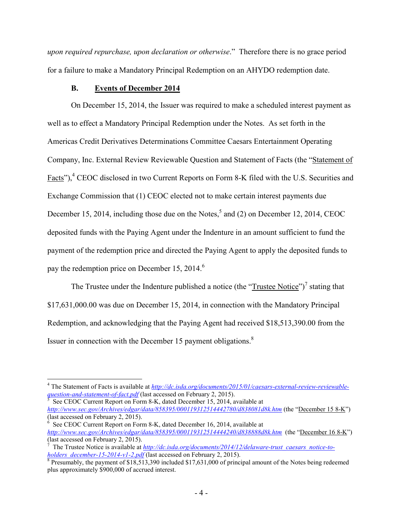*upon required repurchase, upon declaration or otherwise*." Therefore there is no grace period for a failure to make a Mandatory Principal Redemption on an AHYDO redemption date.

### **B. Events of December 2014**

On December 15, 2014, the Issuer was required to make a scheduled interest payment as well as to effect a Mandatory Principal Redemption under the Notes. As set forth in the Americas Credit Derivatives Determinations Committee Caesars Entertainment Operating Company, Inc. External Review Reviewable Question and Statement of Facts (the "Statement of Facts"),<sup>4</sup> CEOC disclosed in two Current Reports on Form 8-K filed with the U.S. Securities and Exchange Commission that (1) CEOC elected not to make certain interest payments due December 15, 2014, including those due on the Notes,<sup>5</sup> and (2) on December 12, 2014, CEOC deposited funds with the Paying Agent under the Indenture in an amount sufficient to fund the payment of the redemption price and directed the Paying Agent to apply the deposited funds to pay the redemption price on December 15, 2014.<sup>6</sup>

The Trustee under the Indenture published a notice (the " $T$ rustee Notice")<sup>7</sup> stating that \$17,631,000.00 was due on December 15, 2014, in connection with the Mandatory Principal Redemption, and acknowledging that the Paying Agent had received \$18,513,390.00 from the Issuer in connection with the December 15 payment obligations. $8$ 

 See CEOC Current Report on Form 8-K, dated December 15, 2014, available at *http://www.sec.gov/Archives/edgar/data/858395/000119312514442780/d838081d8k.htm* (the "December 15 8-K") (last accessed on February 2, 2015).

 $\overline{a}$ <sup>4</sup> The Statement of Facts is available at *http://dc.isda.org/documents/2015/01/caesars-external-review-reviewablequestion-and-statement-of-fact.pdf* (last accessed on February 2, 2015).<br>
<sup>5</sup> See CEOC Current Benort on Form 8 K, dated December 15, 2014, a

<sup>6</sup> See CEOC Current Report on Form 8-K, dated December 16, 2014, available at *http://www.sec.gov/Archives/edgar/data/858395/000119312514444240/d838888d8k.htm* (the "December 16 8-K") (last accessed on February 2, 2015).

<sup>7</sup> The Trustee Notice is available at *http://dc.isda.org/documents/2014/12/delaware-trust\_caesars\_notice-to-*

*holders\_december-15-2014-v1-2.pdf* (last accessed on February 2, 2015).<br><sup>8</sup> Presumably, the payment of \$18,513,390 included \$17,631,000 of principal amount of the Notes being redeemed plus approximately \$900,000 of accrued interest.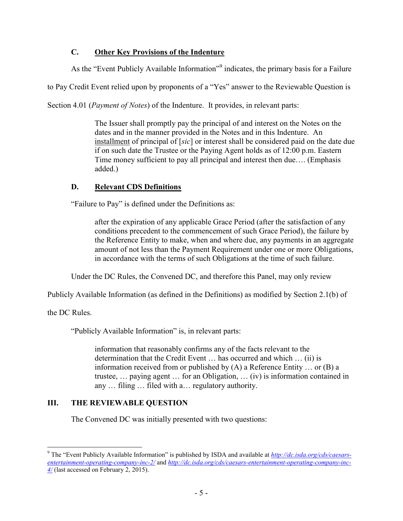# **C. Other Key Provisions of the Indenture**

As the "Event Publicly Available Information"<sup>9</sup> indicates, the primary basis for a Failure

to Pay Credit Event relied upon by proponents of a "Yes" answer to the Reviewable Question is

Section 4.01 (*Payment of Notes*) of the Indenture. It provides, in relevant parts:

The Issuer shall promptly pay the principal of and interest on the Notes on the dates and in the manner provided in the Notes and in this Indenture. An installment of principal of [*sic*] or interest shall be considered paid on the date due if on such date the Trustee or the Paying Agent holds as of 12:00 p.m. Eastern Time money sufficient to pay all principal and interest then due…. (Emphasis added.)

## **D. Relevant CDS Definitions**

"Failure to Pay" is defined under the Definitions as:

after the expiration of any applicable Grace Period (after the satisfaction of any conditions precedent to the commencement of such Grace Period), the failure by the Reference Entity to make, when and where due, any payments in an aggregate amount of not less than the Payment Requirement under one or more Obligations, in accordance with the terms of such Obligations at the time of such failure.

Under the DC Rules, the Convened DC, and therefore this Panel, may only review

Publicly Available Information (as defined in the Definitions) as modified by Section 2.1(b) of

the DC Rules.

"Publicly Available Information" is, in relevant parts:

information that reasonably confirms any of the facts relevant to the determination that the Credit Event … has occurred and which … (ii) is information received from or published by (A) a Reference Entity … or (B) a trustee, … paying agent … for an Obligation, … (iv) is information contained in any … filing … filed with a… regulatory authority.

# **III. THE REVIEWABLE QUESTION**

The Convened DC was initially presented with two questions:

 9 The "Event Publicly Available Information" is published by ISDA and available at *http://dc.isda.org/cds/caesarsentertainment-operating-company-inc-2/* and *http://dc.isda.org/cds/caesars-entertainment-operating-company-inc-4/* (last accessed on February 2, 2015).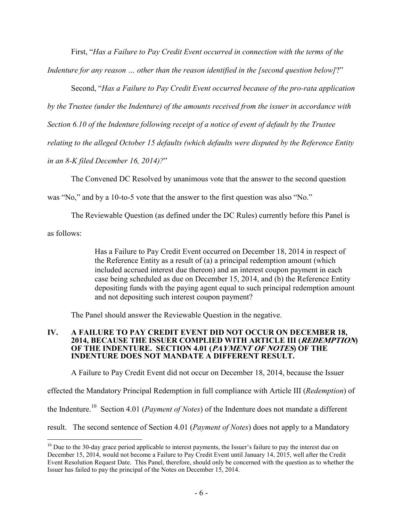First, "*Has a Failure to Pay Credit Event occurred in connection with the terms of the* 

*Indenture for any reason … other than the reason identified in the [second question below]*?"

Second, "*Has a Failure to Pay Credit Event occurred because of the pro-rata application* 

*by the Trustee (under the Indenture) of the amounts received from the issuer in accordance with* 

*Section 6.10 of the Indenture following receipt of a notice of event of default by the Trustee* 

*relating to the alleged October 15 defaults (which defaults were disputed by the Reference Entity* 

*in an 8-K filed December 16, 2014)?*"

The Convened DC Resolved by unanimous vote that the answer to the second question

was "No," and by a 10-to-5 vote that the answer to the first question was also "No."

The Reviewable Question (as defined under the DC Rules) currently before this Panel is

as follows:

<u>.</u>

Has a Failure to Pay Credit Event occurred on December 18, 2014 in respect of the Reference Entity as a result of (a) a principal redemption amount (which included accrued interest due thereon) and an interest coupon payment in each case being scheduled as due on December 15, 2014, and (b) the Reference Entity depositing funds with the paying agent equal to such principal redemption amount and not depositing such interest coupon payment?

The Panel should answer the Reviewable Question in the negative.

#### **IV. A FAILURE TO PAY CREDIT EVENT DID NOT OCCUR ON DECEMBER 18, 2014, BECAUSE THE ISSUER COMPLIED WITH ARTICLE III (REDEMPTION) OF THE INDENTURE. SECTION 4.01 (PAYMENT OF NOTES) OF THE INDENTURE DOES NOT MANDATE A DIFFERENT RESULT.**

A Failure to Pay Credit Event did not occur on December 18, 2014, because the Issuer

effected the Mandatory Principal Redemption in full compliance with Article III (*Redemption*) of

the Indenture.<sup>10</sup> Section 4.01 (*Payment of Notes*) of the Indenture does not mandate a different

result. The second sentence of Section 4.01 (*Payment of Notes*) does not apply to a Mandatory

<sup>&</sup>lt;sup>10</sup> Due to the 30-day grace period applicable to interest payments, the Issuer's failure to pay the interest due on December 15, 2014, would not become a Failure to Pay Credit Event until January 14, 2015, well after the Credit Event Resolution Request Date. This Panel, therefore, should only be concerned with the question as to whether the Issuer has failed to pay the principal of the Notes on December 15, 2014.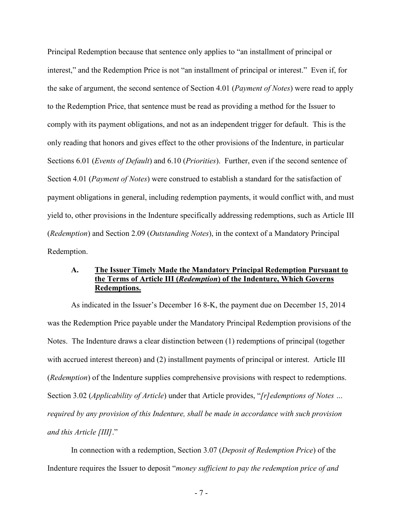Principal Redemption because that sentence only applies to "an installment of principal or interest," and the Redemption Price is not "an installment of principal or interest." Even if, for the sake of argument, the second sentence of Section 4.01 (*Payment of Notes*) were read to apply to the Redemption Price, that sentence must be read as providing a method for the Issuer to comply with its payment obligations, and not as an independent trigger for default. This is the only reading that honors and gives effect to the other provisions of the Indenture, in particular Sections 6.01 (*Events of Default*) and 6.10 (*Priorities*). Further, even if the second sentence of Section 4.01 (*Payment of Notes*) were construed to establish a standard for the satisfaction of payment obligations in general, including redemption payments, it would conflict with, and must yield to, other provisions in the Indenture specifically addressing redemptions, such as Article III (*Redemption*) and Section 2.09 (*Outstanding Notes*), in the context of a Mandatory Principal Redemption.

### **A. The Issuer Timely Made the Mandatory Principal Redemption Pursuant to the Terms of Article III (***Redemption***) of the Indenture, Which Governs Redemptions.**

As indicated in the Issuer's December 16 8-K, the payment due on December 15, 2014 was the Redemption Price payable under the Mandatory Principal Redemption provisions of the Notes. The Indenture draws a clear distinction between (1) redemptions of principal (together with accrued interest thereon) and (2) installment payments of principal or interest. Article III (*Redemption*) of the Indenture supplies comprehensive provisions with respect to redemptions. Section 3.02 (*Applicability of Article*) under that Article provides, "*[r]edemptions of Notes … required by any provision of this Indenture, shall be made in accordance with such provision and this Article [III]*."

In connection with a redemption, Section 3.07 (*Deposit of Redemption Price*) of the Indenture requires the Issuer to deposit "*money sufficient to pay the redemption price of and*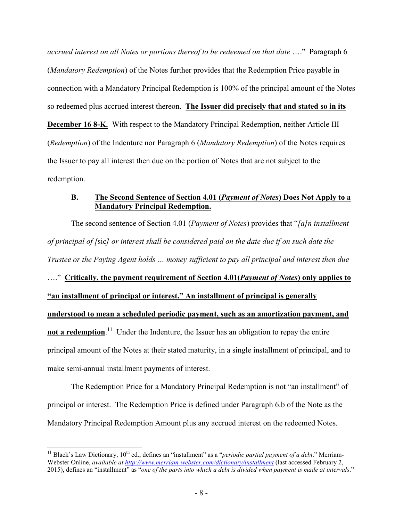*accrued interest on all Notes or portions thereof to be redeemed on that date* …." Paragraph 6 (*Mandatory Redemption*) of the Notes further provides that the Redemption Price payable in connection with a Mandatory Principal Redemption is 100% of the principal amount of the Notes so redeemed plus accrued interest thereon. **The Issuer did precisely that and stated so in its December 16 8-K.** With respect to the Mandatory Principal Redemption, neither Article III (*Redemption*) of the Indenture nor Paragraph 6 (*Mandatory Redemption*) of the Notes requires the Issuer to pay all interest then due on the portion of Notes that are not subject to the redemption.

### **B. The Second Sentence of Section 4.01 (***Payment of Notes***) Does Not Apply to a Mandatory Principal Redemption.**

The second sentence of Section 4.01 (*Payment of Notes*) provides that "*[a]n installment of principal of [*sic*] or interest shall be considered paid on the date due if on such date the Trustee or the Paying Agent holds … money sufficient to pay all principal and interest then due* …." **Critically, the payment requirement of Section 4.01(***Payment of Notes***) only applies to "an installment of principal or interest." An installment of principal is generally understood to mean a scheduled periodic payment, such as an amortization payment, and not a redemption**.<sup>11</sup> Under the Indenture, the Issuer has an obligation to repay the entire principal amount of the Notes at their stated maturity, in a single installment of principal, and to make semi-annual installment payments of interest.

The Redemption Price for a Mandatory Principal Redemption is not "an installment" of principal or interest. The Redemption Price is defined under Paragraph 6.b of the Note as the Mandatory Principal Redemption Amount plus any accrued interest on the redeemed Notes.

 $\overline{a}$ 

<sup>&</sup>lt;sup>11</sup> Black's Law Dictionary,  $10^{th}$  ed., defines an "installment" as a "*periodic partial payment of a debt*." Merriam-Webster Online, *available at http://www.merriam-webster.com/dictionary/installment* (last accessed February 2, 2015), defines an "installment" as "*one of the parts into which a debt is divided when payment is made at intervals*."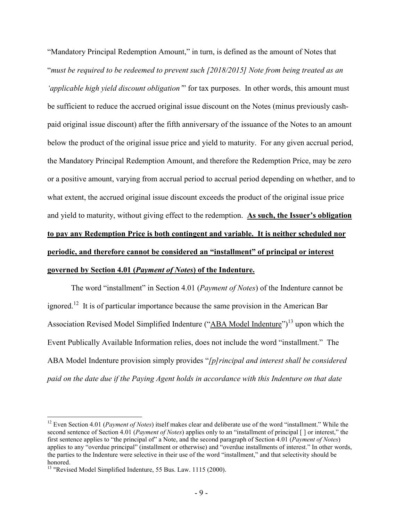"Mandatory Principal Redemption Amount," in turn, is defined as the amount of Notes that "*must be required to be redeemed to prevent such [2018/2015] Note from being treated as an 'applicable high yield discount obligation'*" for tax purposes. In other words, this amount must be sufficient to reduce the accrued original issue discount on the Notes (minus previously cashpaid original issue discount) after the fifth anniversary of the issuance of the Notes to an amount below the product of the original issue price and yield to maturity. For any given accrual period, the Mandatory Principal Redemption Amount, and therefore the Redemption Price, may be zero or a positive amount, varying from accrual period to accrual period depending on whether, and to what extent, the accrued original issue discount exceeds the product of the original issue price and yield to maturity, without giving effect to the redemption. **As such, the Issuer's obligation to pay any Redemption Price is both contingent and variable. It is neither scheduled nor periodic, and therefore cannot be considered an "installment" of principal or interest governed by Section 4.01 (***Payment of Notes***) of the Indenture.**

The word "installment" in Section 4.01 (*Payment of Notes*) of the Indenture cannot be ignored.<sup>12</sup> It is of particular importance because the same provision in the American Bar Association Revised Model Simplified Indenture ("ABA Model Indenture")<sup>13</sup> upon which the Event Publically Available Information relies, does not include the word "installment." The ABA Model Indenture provision simply provides "*[p]rincipal and interest shall be considered paid on the date due if the Paying Agent holds in accordance with this Indenture on that date* 

<u>.</u>

<sup>&</sup>lt;sup>12</sup> Even Section 4.01 (*Payment of Notes*) itself makes clear and deliberate use of the word "installment." While the second sentence of Section 4.01 (*Payment of Notes*) applies only to an "installment of principal [ ] or interest," the first sentence applies to "the principal of" a Note, and the second paragraph of Section 4.01 (*Payment of Notes*) applies to any "overdue principal" (installment or otherwise) and "overdue installments of interest." In other words, the parties to the Indenture were selective in their use of the word "installment," and that selectivity should be honored.

<sup>&</sup>lt;sup>13</sup> "Revised Model Simplified Indenture, 55 Bus. Law. 1115 (2000).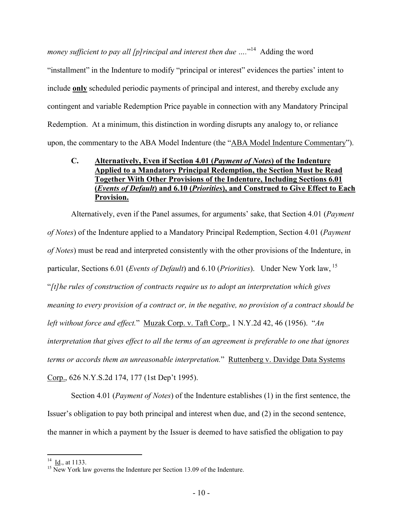money sufficient to pay all [p] rincipal and interest then due ...."<sup>14</sup> Adding the word "installment" in the Indenture to modify "principal or interest" evidences the parties' intent to include **only** scheduled periodic payments of principal and interest, and thereby exclude any contingent and variable Redemption Price payable in connection with any Mandatory Principal Redemption. At a minimum, this distinction in wording disrupts any analogy to, or reliance upon, the commentary to the ABA Model Indenture (the "ABA Model Indenture Commentary").

## **C. Alternatively, Even if Section 4.01 (***Payment of Notes***) of the Indenture Applied to a Mandatory Principal Redemption, the Section Must be Read Together With Other Provisions of the Indenture, Including Sections 6.01 (***Events of Default***) and 6.10 (***Priorities***), and Construed to Give Effect to Each Provision.**

Alternatively, even if the Panel assumes, for arguments' sake, that Section 4.01 (*Payment of Notes*) of the Indenture applied to a Mandatory Principal Redemption, Section 4.01 (*Payment of Notes*) must be read and interpreted consistently with the other provisions of the Indenture, in particular, Sections 6.01 (*Events of Default*) and 6.10 (*Priorities*). Under New York law, <sup>15</sup> "*[t]he rules of construction of contracts require us to adopt an interpretation which gives meaning to every provision of a contract or, in the negative, no provision of a contract should be left without force and effect.*" Muzak Corp. v. Taft Corp., 1 N.Y.2d 42, 46 (1956). "*An interpretation that gives effect to all the terms of an agreement is preferable to one that ignores terms or accords them an unreasonable interpretation.*" Ruttenberg v. Davidge Data Systems Corp., 626 N.Y.S.2d 174, 177 (1st Dep't 1995).

Section 4.01 (*Payment of Notes*) of the Indenture establishes (1) in the first sentence, the Issuer's obligation to pay both principal and interest when due, and (2) in the second sentence, the manner in which a payment by the Issuer is deemed to have satisfied the obligation to pay

 $\overline{a}$  $^{14}$  <u>Id.,</u> at 1133.

<sup>&</sup>lt;sup>15</sup> New York law governs the Indenture per Section 13.09 of the Indenture.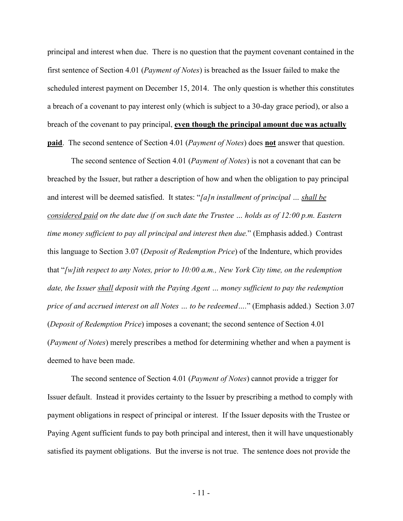principal and interest when due. There is no question that the payment covenant contained in the first sentence of Section 4.01 (*Payment of Notes*) is breached as the Issuer failed to make the scheduled interest payment on December 15, 2014. The only question is whether this constitutes a breach of a covenant to pay interest only (which is subject to a 30-day grace period), or also a breach of the covenant to pay principal, **even though the principal amount due was actually paid**. The second sentence of Section 4.01 (*Payment of Notes*) does **not** answer that question.

The second sentence of Section 4.01 (*Payment of Notes*) is not a covenant that can be breached by the Issuer, but rather a description of how and when the obligation to pay principal and interest will be deemed satisfied. It states: "*[a]n installment of principal … shall be considered paid on the date due if on such date the Trustee … holds as of 12:00 p.m. Eastern time money sufficient to pay all principal and interest then due.*" (Emphasis added.) Contrast this language to Section 3.07 (*Deposit of Redemption Price*) of the Indenture, which provides that "*[w]ith respect to any Notes, prior to 10:00 a.m., New York City time, on the redemption date, the Issuer shall deposit with the Paying Agent … money sufficient to pay the redemption price of and accrued interest on all Notes … to be redeemed….*" (Emphasis added.) Section 3.07 (*Deposit of Redemption Price*) imposes a covenant; the second sentence of Section 4.01 (*Payment of Notes*) merely prescribes a method for determining whether and when a payment is deemed to have been made.

The second sentence of Section 4.01 (*Payment of Notes*) cannot provide a trigger for Issuer default. Instead it provides certainty to the Issuer by prescribing a method to comply with payment obligations in respect of principal or interest. If the Issuer deposits with the Trustee or Paying Agent sufficient funds to pay both principal and interest, then it will have unquestionably satisfied its payment obligations. But the inverse is not true. The sentence does not provide the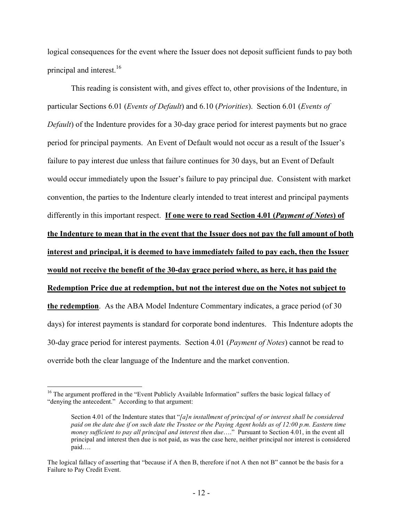logical consequences for the event where the Issuer does not deposit sufficient funds to pay both principal and interest.<sup>16</sup>

This reading is consistent with, and gives effect to, other provisions of the Indenture, in particular Sections 6.01 (*Events of Default*) and 6.10 (*Priorities*). Section 6.01 (*Events of Default*) of the Indenture provides for a 30-day grace period for interest payments but no grace period for principal payments. An Event of Default would not occur as a result of the Issuer's failure to pay interest due unless that failure continues for 30 days, but an Event of Default would occur immediately upon the Issuer's failure to pay principal due. Consistent with market convention, the parties to the Indenture clearly intended to treat interest and principal payments differently in this important respect. **If one were to read Section 4.01 (***Payment of Notes***) of the Indenture to mean that in the event that the Issuer does not pay the full amount of both interest and principal, it is deemed to have immediately failed to pay each, then the Issuer would not receive the benefit of the 30-day grace period where, as here, it has paid the Redemption Price due at redemption, but not the interest due on the Notes not subject to the redemption**. As the ABA Model Indenture Commentary indicates, a grace period (of 30 days) for interest payments is standard for corporate bond indentures. This Indenture adopts the 30-day grace period for interest payments. Section 4.01 (*Payment of Notes*) cannot be read to override both the clear language of the Indenture and the market convention.

-

<sup>&</sup>lt;sup>16</sup> The argument proffered in the "Event Publicly Available Information" suffers the basic logical fallacy of "denying the antecedent." According to that argument:

Section 4.01 of the Indenture states that "*[a]n installment of principal of or interest shall be considered paid on the date due if on such date the Trustee or the Paying Agent holds as of 12:00 p.m. Eastern time money sufficient to pay all principal and interest then due*…." Pursuant to Section 4.01, in the event all principal and interest then due is not paid, as was the case here, neither principal nor interest is considered paid….

The logical fallacy of asserting that "because if A then B, therefore if not A then not B" cannot be the basis for a Failure to Pay Credit Event.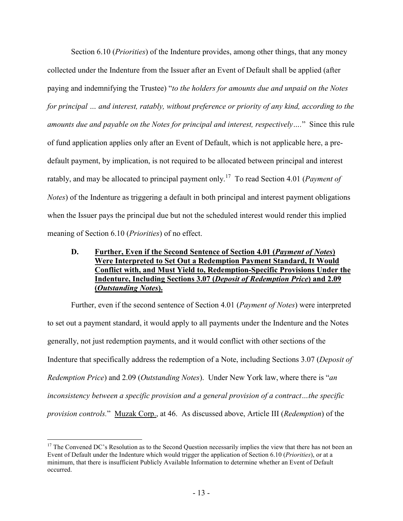Section 6.10 (*Priorities*) of the Indenture provides, among other things, that any money collected under the Indenture from the Issuer after an Event of Default shall be applied (after paying and indemnifying the Trustee) "*to the holders for amounts due and unpaid on the Notes for principal … and interest, ratably, without preference or priority of any kind, according to the amounts due and payable on the Notes for principal and interest, respectively….*" Since this rule of fund application applies only after an Event of Default, which is not applicable here, a predefault payment, by implication, is not required to be allocated between principal and interest ratably, and may be allocated to principal payment only.<sup>17</sup> To read Section 4.01 (*Payment of Notes*) of the Indenture as triggering a default in both principal and interest payment obligations when the Issuer pays the principal due but not the scheduled interest would render this implied meaning of Section 6.10 (*Priorities*) of no effect.

## **D. Further, Even if the Second Sentence of Section 4.01 (***Payment of Notes***) Were Interpreted to Set Out a Redemption Payment Standard, It Would Conflict with, and Must Yield to, Redemption-Specific Provisions Under the Indenture, Including Sections 3.07 (***Deposit of Redemption Price***) and 2.09 (***Outstanding Notes***).**

Further, even if the second sentence of Section 4.01 (*Payment of Notes*) were interpreted to set out a payment standard, it would apply to all payments under the Indenture and the Notes generally, not just redemption payments, and it would conflict with other sections of the Indenture that specifically address the redemption of a Note, including Sections 3.07 (*Deposit of Redemption Price*) and 2.09 (*Outstanding Notes*). Under New York law, where there is "*an inconsistency between a specific provision and a general provision of a contract…the specific provision controls.*" Muzak Corp., at 46. As discussed above, Article III (*Redemption*) of the

<u>.</u>

 $17$  The Convened DC's Resolution as to the Second Question necessarily implies the view that there has not been an Event of Default under the Indenture which would trigger the application of Section 6.10 (*Priorities*), or at a minimum, that there is insufficient Publicly Available Information to determine whether an Event of Default occurred.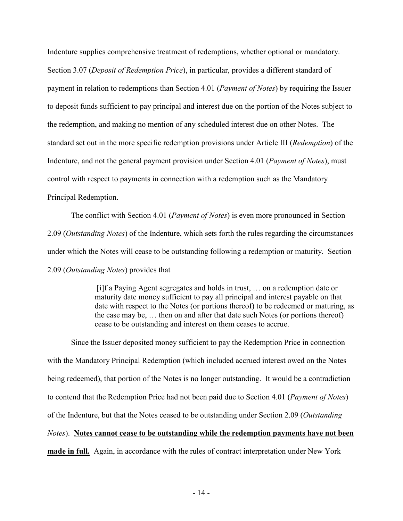Indenture supplies comprehensive treatment of redemptions, whether optional or mandatory. Section 3.07 (*Deposit of Redemption Price*), in particular, provides a different standard of payment in relation to redemptions than Section 4.01 (*Payment of Notes*) by requiring the Issuer to deposit funds sufficient to pay principal and interest due on the portion of the Notes subject to the redemption, and making no mention of any scheduled interest due on other Notes. The standard set out in the more specific redemption provisions under Article III (*Redemption*) of the Indenture, and not the general payment provision under Section 4.01 (*Payment of Notes*), must control with respect to payments in connection with a redemption such as the Mandatory Principal Redemption.

The conflict with Section 4.01 (*Payment of Notes*) is even more pronounced in Section 2.09 (*Outstanding Notes*) of the Indenture, which sets forth the rules regarding the circumstances under which the Notes will cease to be outstanding following a redemption or maturity. Section 2.09 (*Outstanding Notes*) provides that

> [i]f a Paying Agent segregates and holds in trust, … on a redemption date or maturity date money sufficient to pay all principal and interest payable on that date with respect to the Notes (or portions thereof) to be redeemed or maturing, as the case may be, … then on and after that date such Notes (or portions thereof) cease to be outstanding and interest on them ceases to accrue.

Since the Issuer deposited money sufficient to pay the Redemption Price in connection with the Mandatory Principal Redemption (which included accrued interest owed on the Notes being redeemed), that portion of the Notes is no longer outstanding. It would be a contradiction to contend that the Redemption Price had not been paid due to Section 4.01 (*Payment of Notes*) of the Indenture, but that the Notes ceased to be outstanding under Section 2.09 (*Outstanding Notes*). **Notes cannot cease to be outstanding while the redemption payments have not been made in full.** Again, in accordance with the rules of contract interpretation under New York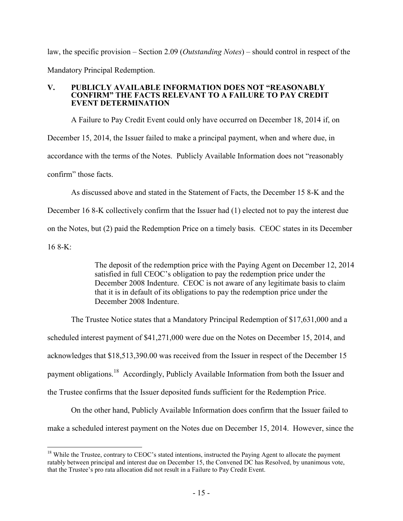law, the specific provision – Section 2.09 (*Outstanding Notes*) – should control in respect of the Mandatory Principal Redemption.

#### **V. PUBLICLY AVAILABLE INFORMATION DOES NOT "REASONABLY CONFIRM" THE FACTS RELEVANT TO A FAILURE TO PAY CREDIT EVENT DETERMINATION**

A Failure to Pay Credit Event could only have occurred on December 18, 2014 if, on December 15, 2014, the Issuer failed to make a principal payment, when and where due, in accordance with the terms of the Notes. Publicly Available Information does not "reasonably confirm" those facts.

As discussed above and stated in the Statement of Facts, the December 15 8-K and the December 16 8-K collectively confirm that the Issuer had (1) elected not to pay the interest due on the Notes, but (2) paid the Redemption Price on a timely basis. CEOC states in its December 16 8-K:

> The deposit of the redemption price with the Paying Agent on December 12, 2014 satisfied in full CEOC's obligation to pay the redemption price under the December 2008 Indenture. CEOC is not aware of any legitimate basis to claim that it is in default of its obligations to pay the redemption price under the December 2008 Indenture.

The Trustee Notice states that a Mandatory Principal Redemption of \$17,631,000 and a scheduled interest payment of \$41,271,000 were due on the Notes on December 15, 2014, and acknowledges that \$18,513,390.00 was received from the Issuer in respect of the December 15 payment obligations.<sup>18</sup> Accordingly, Publicly Available Information from both the Issuer and the Trustee confirms that the Issuer deposited funds sufficient for the Redemption Price.

On the other hand, Publicly Available Information does confirm that the Issuer failed to make a scheduled interest payment on the Notes due on December 15, 2014. However, since the

<sup>&</sup>lt;u>.</u> <sup>18</sup> While the Trustee, contrary to CEOC's stated intentions, instructed the Paying Agent to allocate the payment ratably between principal and interest due on December 15, the Convened DC has Resolved, by unanimous vote, that the Trustee's pro rata allocation did not result in a Failure to Pay Credit Event.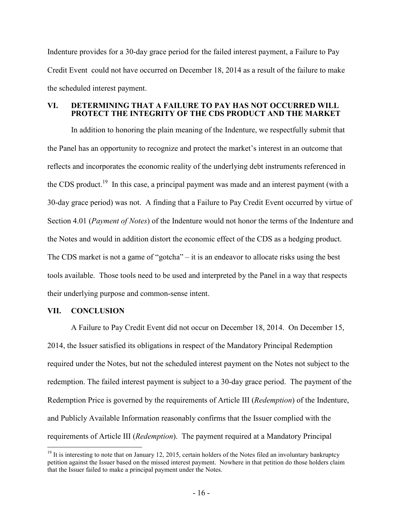Indenture provides for a 30-day grace period for the failed interest payment, a Failure to Pay Credit Event could not have occurred on December 18, 2014 as a result of the failure to make the scheduled interest payment.

#### **VI. DETERMINING THAT A FAILURE TO PAY HAS NOT OCCURRED WILL PROTECT THE INTEGRITY OF THE CDS PRODUCT AND THE MARKET**

In addition to honoring the plain meaning of the Indenture, we respectfully submit that the Panel has an opportunity to recognize and protect the market's interest in an outcome that reflects and incorporates the economic reality of the underlying debt instruments referenced in the CDS product.<sup>19</sup> In this case, a principal payment was made and an interest payment (with a 30-day grace period) was not. A finding that a Failure to Pay Credit Event occurred by virtue of Section 4.01 (*Payment of Notes*) of the Indenture would not honor the terms of the Indenture and the Notes and would in addition distort the economic effect of the CDS as a hedging product. The CDS market is not a game of "gotcha" – it is an endeavor to allocate risks using the best tools available. Those tools need to be used and interpreted by the Panel in a way that respects their underlying purpose and common-sense intent.

### **VII. CONCLUSION**

<u>.</u>

A Failure to Pay Credit Event did not occur on December 18, 2014. On December 15, 2014, the Issuer satisfied its obligations in respect of the Mandatory Principal Redemption required under the Notes, but not the scheduled interest payment on the Notes not subject to the redemption. The failed interest payment is subject to a 30-day grace period. The payment of the Redemption Price is governed by the requirements of Article III (*Redemption*) of the Indenture, and Publicly Available Information reasonably confirms that the Issuer complied with the requirements of Article III (*Redemption*). The payment required at a Mandatory Principal

<sup>&</sup>lt;sup>19</sup> It is interesting to note that on January 12, 2015, certain holders of the Notes filed an involuntary bankruptcy petition against the Issuer based on the missed interest payment. Nowhere in that petition do those holders claim that the Issuer failed to make a principal payment under the Notes.